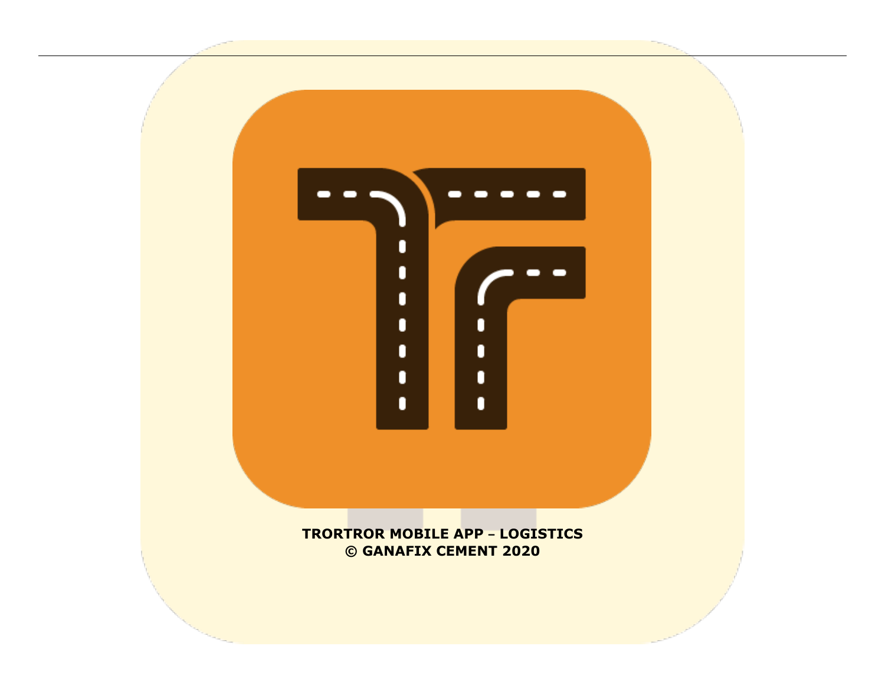

**TRORTROR MOBILE APP - LOGISTICS** © GANAFIX CEMENT 2020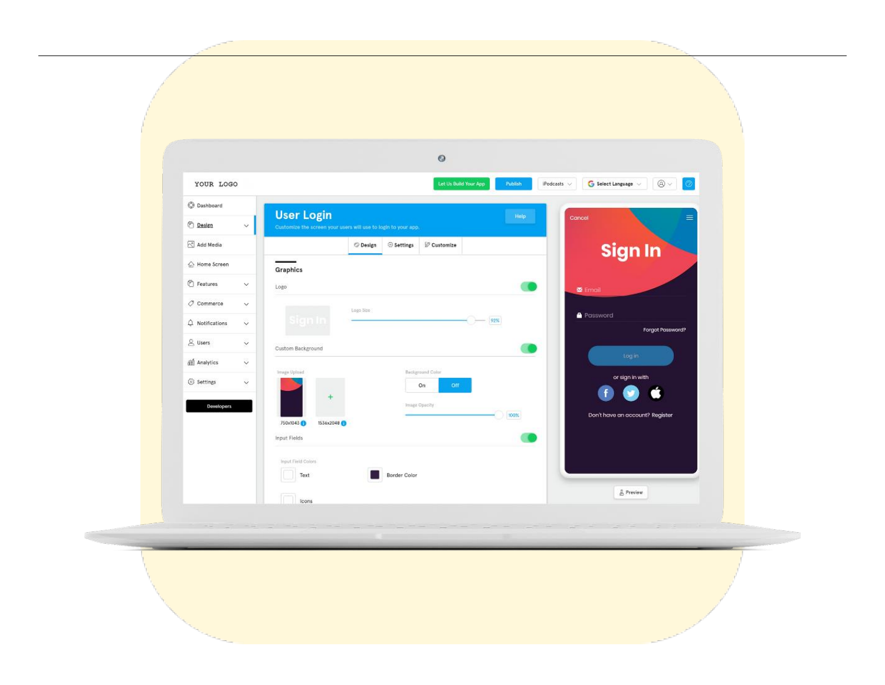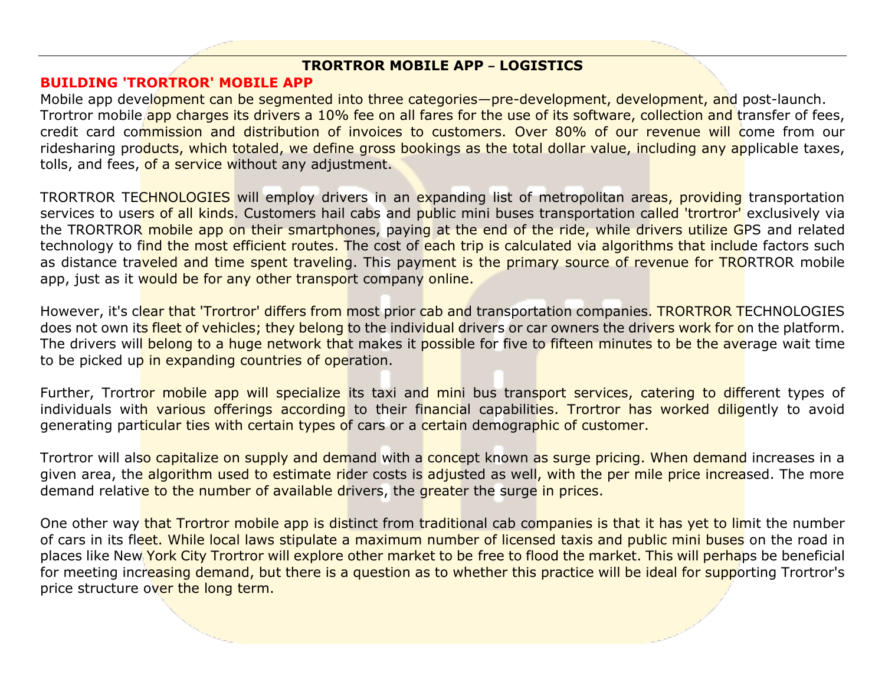### **TRORTROR MOBILE APP ‒ LOGISTICS**

### **BUILDING 'TRORTROR' MOBILE APP**

Mobile app development can be segmented into three categories—pre-development, development, and post-launch. Trortror mobile app charges its drivers a 10% fee on all fares for the use of its software, collection and transfer of fees, credit card commission and distribution of invoices to customers. Over 80% of our revenue will come from our ridesharing products, which totaled, we define gross bookings as the total dollar value, including any applicable taxes, tolls, and fees, of a service without any adjustment.

TRORTROR TECHNOLOGIES will employ drivers in an expanding list of metropolitan areas, providing transportation services to users of all kinds. Customers hail cabs and public mini buses transportation called 'trortror' exclusively via the TRORTROR mobile app on their smartphones, paying at the end of the ride, while drivers utilize GPS and related technology to find the most efficient routes. The cost of each trip is calculated via [algorithms](https://www.investopedia.com/terms/a/algorithm.asp) that include factors such as distance traveled and time spent traveling. This payment is the primary source of revenue for TRORTROR mobile app, just as it would be for any other transport company online.

However, it's clear that 'Trortror' differs from most prior cab and transportation companies. TRORTROR TECHNOLOGIES does not own its fleet of vehicles; they belong to the individual drivers or car owners the drivers work for on the platform. The drivers will belong to a huge network that makes it possible for five to fifteen minutes to be the average wait time to be picked up in expanding countries of operation.

Further, Trortror mobile app will specialize its taxi and mini bus transport services, catering to different types of individuals with various offerings according to their financial capabilities. Trortror has worked diligently to avoid generating particular ties with certain types of cars or a certain demographic of customer.

Trortror will also capitalize on supply and demand with a concept known as surge pricing. When demand increases in a given area, the algorithm used to estimate rider costs is adjusted as well, with the per mile price increased. The more demand relative to the number of available drivers, the greater the surge in prices.

One other way that Trortror mobile app is distinct from traditional cab companies is that it has yet to limit the number of cars in its fleet. While local laws stipulate a maximum number of licensed taxis and public mini buses on the road in places like New York City Trortror will explore other market to be [free to flood the market.](https://www.investopedia.com/articles/investing/110614/taxi-industry-pros-cons-uber-and-other-ehail-apps.asp) This will perhaps be beneficial for meeting increasing demand, but there is a question as to whether this practice will be ideal for supporting Trortror's price structure over the long term.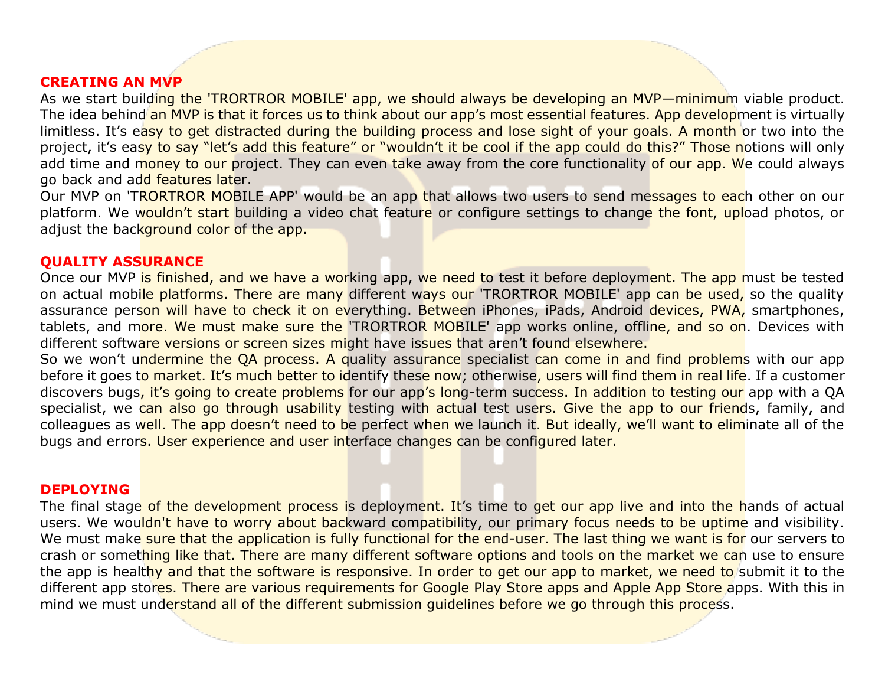### **CREATING AN MVP**

As we start building the 'TRORTROR MOBILE' app, we should always be developing an MVP—minimum viable product. The idea behind an MVP is that it forces us to think about our app's most essential features. App development is virtually limitless. It's easy to get distracted during the building process and lose sight of your goals. A month or two into the project, it's easy to say "let's add this feature" or "wouldn't it be cool if the app could do this?" Those notions will only add time and money to our project. They can even take away from the core functionality of our app. We could always go back and add features later.

Our MVP on 'TRORTROR MOBILE APP' would be an app that allows two users to send messages to each other on our platform. We wouldn't start building a video chat feature or configure settings to change the font, upload photos, or adjust the background color of the app.

### **QUALITY ASSURANCE**

Once our MVP is finished, and we have a working app, we need to test it before deployment. The app must be tested on actual mobile platforms. There are many different ways our 'TRORTROR MOBILE' app can be used, so the quality assurance person will have to check it on everything. Between iPhones, iPads, Android devices, PWA, smartphones, tablets, and more. We must make sure the 'TRORTROR MOBILE' app works online, offline, and so on. Devices with different software versions or screen sizes might have issues that aren't found elsewhere.

So we won't undermine the QA process. A quality assurance specialist can come in and find problems with our app before it goes to market. It's much better to identify these now; otherwise, users will find them in real life. If a customer discovers bugs, it's going to create problems for our app's long-term success. In addition to testing our app with a QA specialist, we can also go through usability testing with actual test users. Give the app to our friends, family, and colleagues as well. The app doesn't need to be perfect when we launch it. But ideally, we'll want to eliminate all of the bugs and errors. User experience and user interface changes can be configured later.

#### **DEPLOYING**

The final stage of the development process is deployment. It's time to get our app live and into the hands of actual users. We wouldn't have to worry about backward compatibility, our primary focus needs to be uptime and visibility. We must make sure that the application is fully functional for the end-user. The last thing we want is for our servers to crash or something like that. There are many different software options and tools on the market we can use to ensure the app is healthy and that the software is responsive. In order to get our app to market, we need to submit it to the different app stores. There are various requirements for Google Play Store apps and Apple App Store apps. With this in mind we must understand all of the different submission guidelines before we go through this process.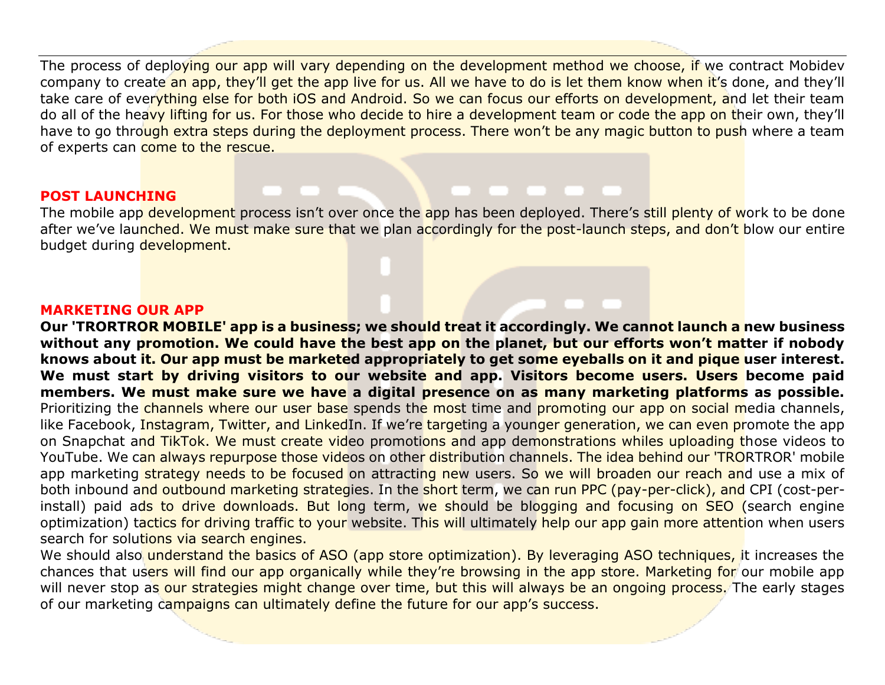The process of deploying our app will vary depending on the development method we choose, if we contract Mobidev company to create an app, they'll get the app live for us. All we have to do is let them know when it's done, and they'll take care of everything else for both iOS and Android. So we can focus our efforts on development, and let their team do all of the heavy lifting for us. For those who decide to hire a development team or code the app on their own, they'll have to go through extra steps during the deployment process. There won't be any magic button to push where a team of experts can come to the rescue.

#### **POST LAUNCHING**

The mobile app development process isn't over once the app has been deployed. There's still plenty of work to be done after we've launched. We must make sure that we plan accordingly for the post-launch steps, and don't blow our entire budget during development.

#### **MARKETING OUR APP**

**Our 'TRORTROR MOBILE' app is a business; we should treat it accordingly. We cannot launch a new business without any promotion. We could have the best app on the planet, but our efforts won't matter if nobody knows about it. Our app must be marketed appropriately to get some eyeballs on it and pique user interest. We must start by driving visitors to our website and app. Visitors become users. Users become paid members. We must make sure we have a digital presence on as many marketing platforms as possible.** Prioritizing the channels where our user base spends the most time and promoting our app on social media channels, like Facebook, Instagram, Twitter, and LinkedIn. If we're targeting a younger generation, we can even promote the app on Snapchat and TikTok. We must create video promotions and app demonstrations whiles uploading those videos to YouTube. We can always repurpose those videos on other distribution channels. The idea behind our 'TRORTROR' mobile app marketing strategy needs to be focused on attracting new users. So we will broaden our reach and use a mix of both inbound and outbound marketing strategies. In the short term, we can run PPC (pay-per-click), and CPI (cost-perinstall) paid ads to drive downloads. But long term, we should be blogging and focusing on SEO (search engine optimization) tactics for driving traffic to your website. This will ultimately help our app gain more attention when users search for solutions via search engines.

We should also understand the basics of ASO (app store optimization). By leveraging ASO techniques, it increases the chances that users will find our app organically while they're browsing in the app store. Marketing for our mobile app will never stop as our strategies might change over time, but this will always be an ongoing process. The early stages of our marketing campaigns can ultimately define the future for our app's success.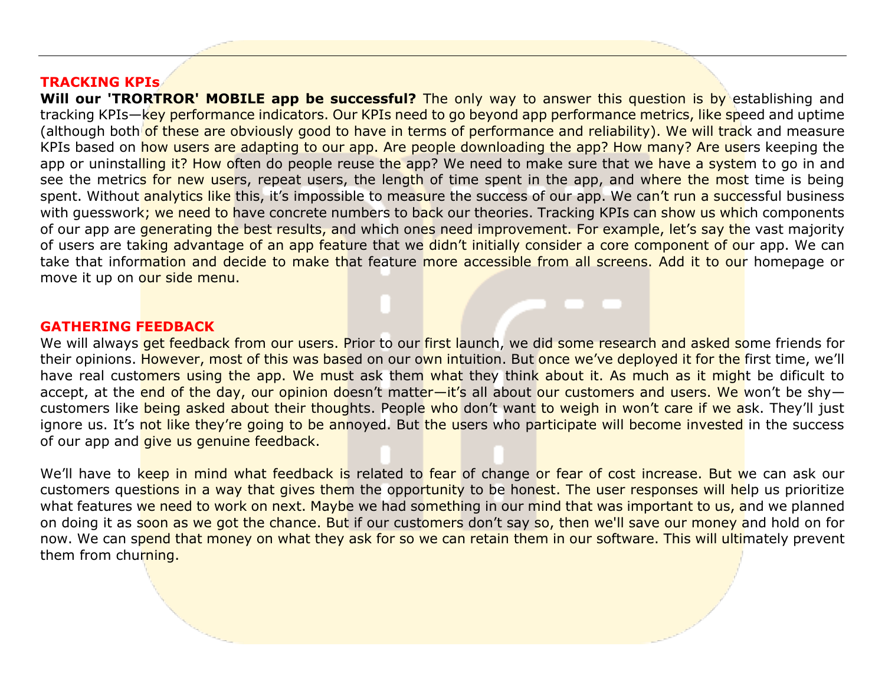#### **TRACKING KPIs**

Will our 'TRORTROR' MOBILE app be successful? The only way to answer this question is by establishing and tracking KPIs—key performance indicators. Our KPIs need to go beyond app performance metrics, like speed and uptime (although both of these are obviously good to have in terms of performance and reliability). We will track and measure KPIs based on how users are adapting to our app. Are people downloading the app? How many? Are users keeping the app or uninstalling it? How often do people reuse the app? We need to make sure that we have a system to go in and see the metrics for new users, repeat users, the length of time spent in the app, and where the most time is being spent. Without analytics like this, it's impossible to measure the success of our app. We can't run a successful business with guesswork; we need to have concrete numbers to back our theories. Tracking KPIs can show us which components of our app are generating the best results, and which ones need improvement. For example, let's say the vast majority of users are taking advantage of an app feature that we didn't initially consider a core component of our app. We can take that information and decide to make that feature more accessible from all screens. Add it to our homepage or move it up on our side menu.

# **GATHERING FEEDBACK**

We will always get feedback from our users. Prior to our first launch, we did some research and asked some friends for their opinions. However, most of this was based on our own intuition. But once we've deployed it for the first time, we'll have real customers using the app. We must ask them what they think about it. As much as it might be dificult to accept, at the end of the day, our opinion doesn't matter—it's all about our customers and users. We won't be shy customers like being asked about their thoughts. People who don't want to weigh in won't care if we ask. They'll just ignore us. It's not like they're going to be annoyed. But the users who participate will become invested in the success of our app and give us genuine feedback.

We'll have to keep in mind what feedback is related to fear of change or fear of cost increase. But we can ask our customers questions in a way that gives them the opportunity to be honest. The user responses will help us prioritize what features we need to work on next. Maybe we had something in our mind that was important to us, and we planned on doing it as soon as we got the chance. But if our customers don't say so, then we'll save our money and hold on for now. We can spend that money on what they ask for so we can retain them in our software. This will ultimately prevent them from churning.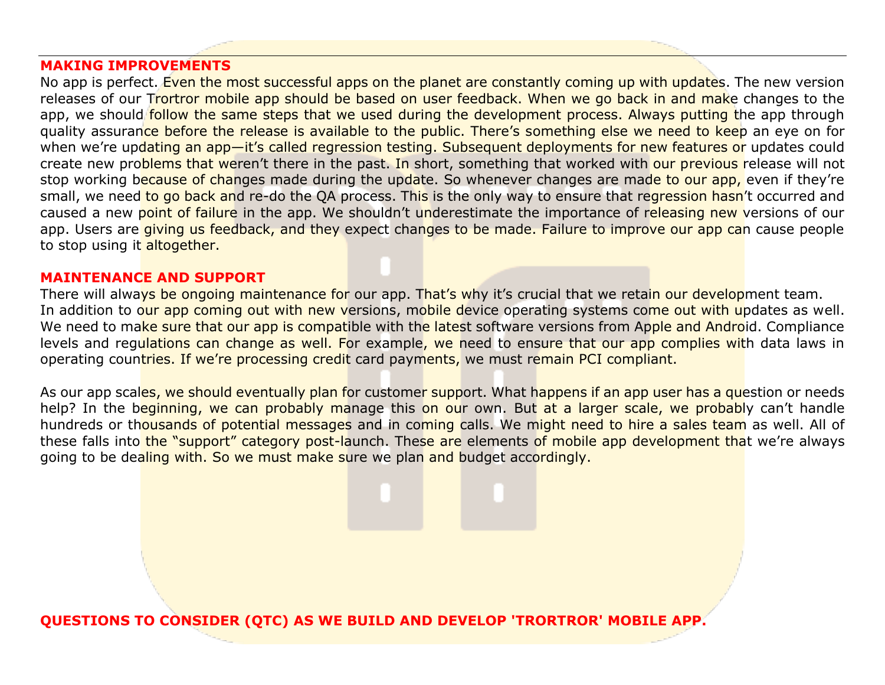#### **MAKING IMPROVEMENTS**

No app is perfect. Even the most successful apps on the planet are constantly coming up with updates. The new version releases of our Trortror mobile app should be based on user feedback. When we go back in and make changes to the app, we should follow the same steps that we used during the development process. Always putting the app through quality assurance before the release is available to the public. There's something else we need to keep an eye on for when we're updating an app—it's called regression testing. Subsequent deployments for new features or updates could create new problems that weren't there in the past. In short, something that worked with our previous release will not stop working because of changes made during the update. So whenever changes are made to our app, even if they're small, we need to go back and re-do the QA process. This is the only way to ensure that regression hasn't occurred and caused a new point of failure in the app. We shouldn't underestimate the importance of releasing new versions of our app. Users are *giving us feedback, and they expect changes to be made. Failure to improve our app can cause people* to stop using it altogether.

#### **MAINTENANCE AND SUPPORT**

There will always be ongoing maintenance for our app. That's why it's crucial that we retain our development team. In addition to our app coming out with new versions, mobile device operating systems come out with updates as well. We need to make sure that our app is compatible with the latest software versions from Apple and Android. Compliance levels and regulations can change as well. For example, we need to ensure that our app complies with data laws in operating countries. If we're processing credit card payments, we must remain PCI compliant.

As our app scales, we should eventually plan for customer support. What happens if an app user has a question or needs help? In the beginning, we can probably manage this on our own. But at a larger scale, we probably can't handle hundreds or thousands of potential messages and in coming calls. We might need to hire a sales team as well. All of these falls into the "support" category post-launch. These are elements of mobile app development that we're always going to be dealing with. So we must make sure we plan and budget accordingly.

**QUESTIONS TO CONSIDER (QTC) AS WE BUILD AND DEVELOP 'TRORTROR' MOBILE APP.**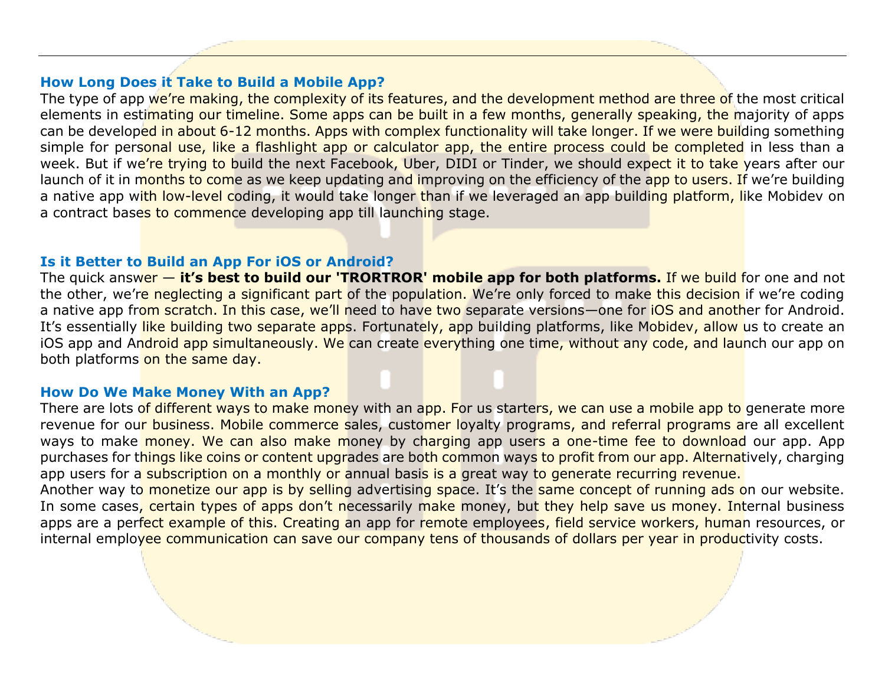# **How Long Does it Take to Build a Mobile App?**

The type of app we're making, the complexity of its features, and the development method are three of the most critical elements in estimating our timeline. Some apps can be built in a few months, generally speaking, the majority of apps can be developed in about 6-12 months. Apps with complex functionality will take longer. If we were building something simple for personal use, like a flashlight app or calculator app, the entire process could be completed in less than a week. But if we're trying to build the next Facebook, Uber, DIDI or Tinder, we should expect it to take years after our launch of it in months to come as we keep updating and improving on the efficiency of the app to users. If we're building a native app with low-level coding, it would take longer than if we leveraged an app building platform, like Mobidev on a contract bases to commence developing app till launching stage.

# **Is it Better to Build an App For iOS or Android?**

The quick answer — **it's best to build our 'TRORTROR' mobile app for both platforms.** If we build for one and not the other, we're neglecting a significant part of the population. We're only forced to make this decision if we're coding a native app from scratch. In this case, we'll need to have two separate versions—one for iOS and another for Android. It's essentially like building two separate apps. Fortunately, app building platforms, like Mobidey, allow us to create an iOS app and Android app simultaneously. We can create everything one time, without any code, and launch our app on both platforms on the same day.

# **How Do We Make Money With an App?**

There are lots of different ways to make money with an app. For us starters, we can use a mobile app to generate more revenue for our business. Mobile commerce sales, customer loyalty programs, and referral programs are all excellent ways to make money. We can also make money by charging app users a one-time fee to download our app. App purchases for things like coins or content upgrades are both common ways to profit from our app. Alternatively, charging app users for a subscription on a monthly or annual basis is a great way to generate recurring revenue. Another way to monetize our app is by selling advertising space. It's the same concept of running ads on our website. In some cases, certain types of apps don't necessarily make money, but they help save us money. Internal business

apps are a perfect example of this. Creating an app for remote employees, field service workers, human resources, or internal employee communication can save our company tens of thousands of dollars per year in productivity costs.